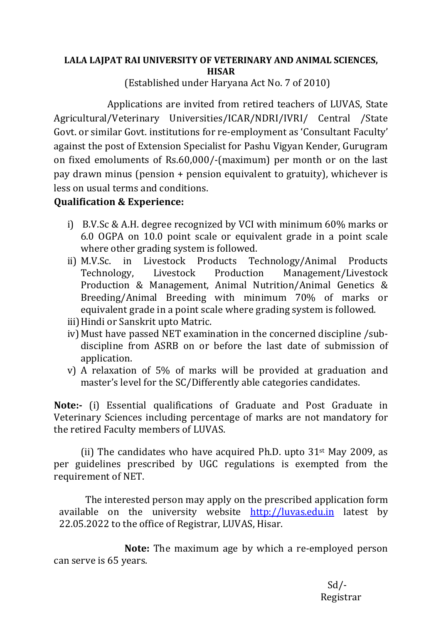## LALA LAJPAT RAI UNIVERSITY OF VETERINARY AND ANIMAL SCIENCES, **HISAR**

(Established under Haryana Act No. 7 of 2010)

Applications are invited from retired teachers of LUVAS, State Agricultural/Veterinary Universities/ICAR/NDRI/IVRI/ Central /State Govt. or similar Govt. institutions for re-employment as 'Consultant Faculty' against the post of Extension Specialist for Pashu Vigyan Kender, Gurugram on fixed emoluments of Rs.60,000/-(maximum) per month or on the last pay drawn minus (pension  $+$  pension equivalent to gratuity), whichever is less on usual terms and conditions.

## **Qualification & Experience:**

- i) B.V.Sc & A.H. degree recognized by VCI with minimum  $60\%$  marks or 6.0 OGPA on 10.0 point scale or equivalent grade in a point scale where other grading system is followed.
- ii) M.V.Sc. in Livestock Products Technology/Animal Products Technology, Livestock Production Management/Livestock Production & Management, Animal Nutrition/Animal Genetics & Breeding/Animal Breeding with minimum 70% of marks or equivalent grade in a point scale where grading system is followed.
- iii) Hindi or Sanskrit upto Matric.
- iv) Must have passed NET examination in the concerned discipline /subdiscipline from ASRB on or before the last date of submission of application.
- v) A relaxation of 5% of marks will be provided at graduation and master's level for the SC/Differently able categories candidates.

**Note:-** (i) Essential qualifications of Graduate and Post Graduate in Veterinary Sciences including percentage of marks are not mandatory for the retired Faculty members of LUVAS.

(ii) The candidates who have acquired Ph.D. upto  $31<sup>st</sup>$  May 2009, as per guidelines prescribed by UGC regulations is exempted from the requirement of NET.

The interested person may apply on the prescribed application form available on the university website http://luvas.edu.in latest by 22.05.2022 to the office of Registrar, LUVAS, Hisar.

**Note:** The maximum age by which a re-employed person can serve is 65 years.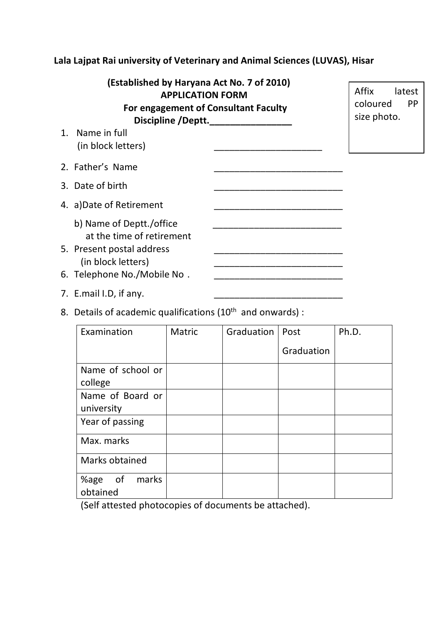## **Lala Lajpat Rai university of Veterinary and Animal Sciences (LUVAS), Hisar**

| (Established by Haryana Act No. 7 of 2010)<br><b>APPLICATION FORM</b><br>For engagement of Consultant Faculty<br>Discipline /Deptt. | Affix<br>latest<br>coloured<br>PP<br>size photo. |  |
|-------------------------------------------------------------------------------------------------------------------------------------|--------------------------------------------------|--|
| 1. Name in full<br>(in block letters)                                                                                               |                                                  |  |
| 2. Father's Name                                                                                                                    |                                                  |  |
| 3. Date of birth                                                                                                                    |                                                  |  |
| 4. a)Date of Retirement                                                                                                             |                                                  |  |
| b) Name of Deptt./office<br>at the time of retirement<br>5. Present postal address<br>(in block letters)                            |                                                  |  |
| 6. Telephone No./Mobile No.                                                                                                         |                                                  |  |

- 7. E.mail I.D, if any.
- 8. Details of academic qualifications ( $10<sup>th</sup>$  and onwards) :

| Examination                     | Matric | Graduation | Post       | Ph.D. |
|---------------------------------|--------|------------|------------|-------|
|                                 |        |            | Graduation |       |
| Name of school or               |        |            |            |       |
| college                         |        |            |            |       |
| Name of Board or                |        |            |            |       |
| university                      |        |            |            |       |
| Year of passing                 |        |            |            |       |
| Max. marks                      |        |            |            |       |
| Marks obtained                  |        |            |            |       |
| of<br>marks<br>%age<br>obtained |        |            |            |       |

(Self attested photocopies of documents be attached).